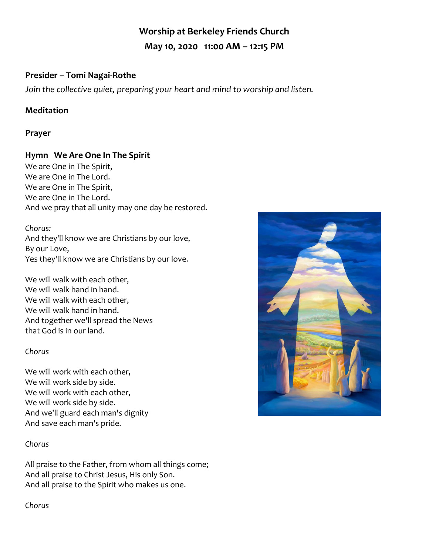# **Worship at Berkeley Friends Church May 10, 2020 11:00 AM – 12:15 PM**

## **Presider – Tomi Nagai-Rothe**

*Join the collective quiet, preparing your heart and mind to worship and listen.*

## **Meditation**

#### **Prayer**

## **Hymn We Are One In The Spirit**

We are One in The Spirit, We are One in The Lord. We are One in The Spirit, We are One in The Lord. And we pray that all unity may one day be restored.

#### *Chorus:*

And they'll know we are Christians by our love, By our Love, Yes they'll know we are Christians by our love.

We will walk with each other, We will walk hand in hand. We will walk with each other, We will walk hand in hand. And together we'll spread the News that God is in our land.

#### *Chorus*

We will work with each other, We will work side by side. We will work with each other, We will work side by side. And we'll guard each man's dignity And save each man's pride.

#### *Chorus*

All praise to the Father, from whom all things come; And all praise to Christ Jesus, His only Son. And all praise to the Spirit who makes us one.

*Chorus*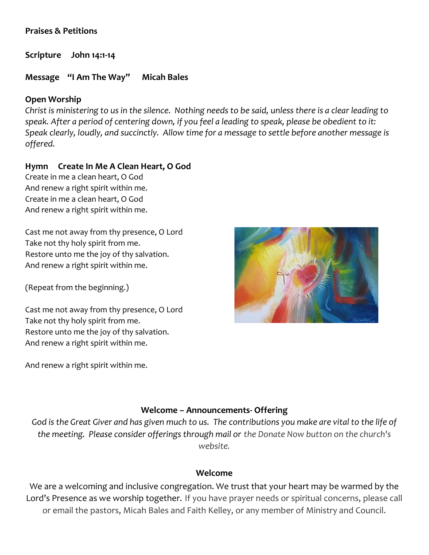#### **Praises & Petitions**

**Scripture John 14:1-14** 

#### **Message "I Am The Way" Micah Bales**

#### **Open Worship**

*Christ is ministering to us in the silence. Nothing needs to be said, unless there is a clear leading to speak. After a period of centering down, if you feel a leading to speak, please be obedient to it: Speak clearly, loudly, and succinctly. Allow time for a message to settle before another message is offered.*

## **Hymn Create In Me A Clean Heart, O God**

Create in me a clean heart, O God And renew a right spirit within me. Create in me a clean heart, O God And renew a right spirit within me.

Cast me not away from thy presence, O Lord Take not thy holy spirit from me. Restore unto me the joy of thy salvation. And renew a right spirit within me.

(Repeat from the beginning.)

Cast me not away from thy presence, O Lord Take not thy holy spirit from me. Restore unto me the joy of thy salvation. And renew a right spirit within me.

And renew a right spirit within me.



#### **Welcome – Announcements- Offering**

*God is the Great Giver and has given much to us. The contributions you make are vital to the life of the meeting. Please consider offerings through mail or the Donate Now button on the church's website.*

#### **Welcome**

We are a welcoming and inclusive congregation. We trust that your heart may be warmed by the Lord's Presence as we worship together. If you have prayer needs or spiritual concerns, please call or email the pastors, Micah Bales and Faith Kelley, or any member of Ministry and Council.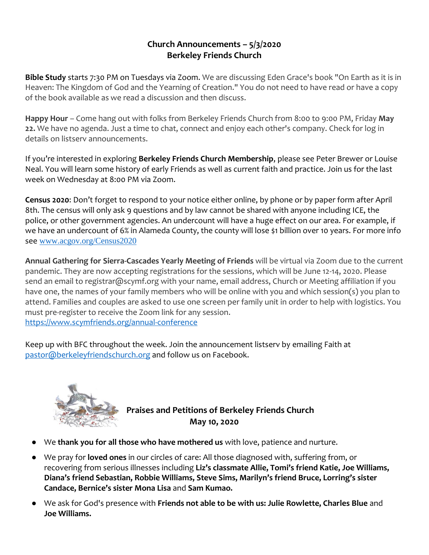## **Church Announcements – 5/3/2020 Berkeley Friends Church**

**Bible Study** starts 7:30 PM on Tuesdays via Zoom. We are discussing Eden Grace's book "On Earth as it is in Heaven: The Kingdom of God and the Yearning of Creation." You do not need to have read or have a copy of the book available as we read a discussion and then discuss.

**Happy Hour** – Come hang out with folks from Berkeley Friends Church from 8:00 to 9:00 PM, Friday **May 22.** We have no agenda. Just a time to chat, connect and enjoy each other's company. Check for log in details on listserv announcements.

If you're interested in exploring **Berkeley Friends Church Membership**, please see Peter Brewer or Louise Neal. You will learn some history of early Friends as well as current faith and practice. Join us for the last week on Wednesday at 8:00 PM via Zoom.

**Census 2020**: Don't forget to respond to your notice either online, by phone or by paper form after April 8th. The census will only ask 9 questions and by law cannot be shared with anyone including ICE, the police, or other government agencies. An undercount will have a huge effect on our area. For example, if we have an undercount of 6% in Alameda County, the county will lose \$1 billion over 10 years. For more info see [www.acgov.org/Census2020](http://www.acgov.org/Census2020)

**Annual Gathering for Sierra-Cascades Yearly Meeting of Friends** will be virtual via Zoom due to the current pandemic. They are now accepting registrations for the sessions, which will be June 12-14, 2020. Please send an email to registrar@scymf.org with your name, email address, Church or Meeting affiliation if you have one, the names of your family members who will be online with you and which session(s) you plan to attend. Families and couples are asked to use one screen per family unit in order to help with logistics. You must pre-register to receive the Zoom link for any session. <https://www.scymfriends.org/annual-conference>

Keep up with BFC throughout the week. Join the announcement listserv by emailing Faith at [pastor@berkeleyfriendschurch.org](mailto:pastor@berkeleyfriendschurch.org) and follow us on Facebook.



# **Praises and Petitions of Berkeley Friends Church May 10, 2020**

- We **thank you for all those who have mothered us** with love, patience and nurture.
- We pray for **loved ones** in our circles of care: All those diagnosed with, suffering from, or recovering from serious illnesses including **Liz's classmate Allie, Tomi's friend Katie, Joe Williams, Diana's friend Sebastian, Robbie Williams, Steve Sims, Marilyn's friend Bruce, Lorring's sister Candace, Bernice's sister Mona Lisa** and **Sam Kumao.**
- We ask for God's presence with **Friends not able to be with us: Julie Rowlette, Charles Blue** and **Joe Williams.**